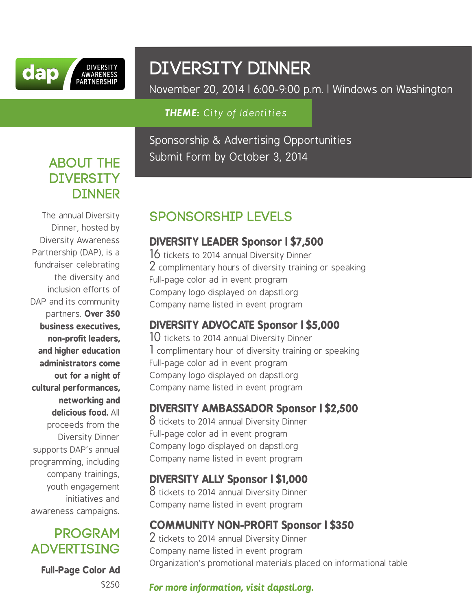

# DIVERSITY DINNER

November 20, 2014 | 6:00-9:00 p.m. | Windows on Washington

#### *THEME: City of Identities*

Sponsorship & Advertising Opportunities Submit Form by October 3, 2014

## **ABOUT THE DIVERSITY DINNER**

The annual Diversity Dinner, hosted by Diversity Awareness Partnership (DAP), is a fundraiser celebrating the diversity and inclusion efforts of DAP and its community partners. **Over 350 business executives, non-profit leaders, and higher education administrators come out for a night of cultural performances, networking and delicious food.** All proceeds from the Diversity Dinner supports DAP's annual programming, including company trainings, youth engagement initiatives and awareness campaigns.

## **PROGRAM ADVERTISING**

**Full-Page Color Ad** \$250

# sponsorship levels

#### **DIVERSITY LEADER Sponsor | \$7,500**

16 tickets to 2014 annual Diversity Dinner 2 complimentary hours of diversity training or speaking Full-page color ad in event program Company logo displayed on dapstl.org Company name listed in event program

## **DIVERSITY ADVOCATE Sponsor | \$5,000**

10 tickets to 2014 annual Diversity Dinner 1 complimentary hour of diversity training or speaking Full-page color ad in event program Company logo displayed on dapstl.org Company name listed in event program

## **DIVERSITY AMBASSADOR Sponsor | \$2,500**

8 tickets to 2014 annual Diversity Dinner Full-page color ad in event program Company logo displayed on dapstl.org Company name listed in event program

#### **DIVERSITY ALLY Sponsor | \$1,000**

8 tickets to 2014 annual Diversity Dinner Company name listed in event program

## **COMMUNITY NON-PROFIT Sponsor | \$350**

 $2$  tickets to 2014 annual Diversity Dinner Company name listed in event program Organization's promotional materials placed on informational table

#### *For more information, visit dapstl.org.*